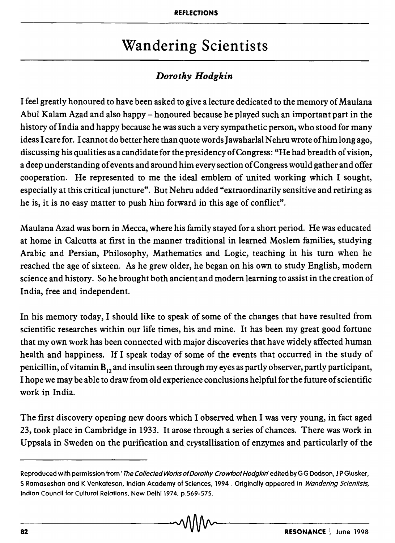# Wandering Scientists

# *Dorothy Hodgkin*

I feel greatly honoured to have been asked to give a lecture dedicated to the memory of Maulana Abul Kalam Azad and also happy - honoured because he played such an important part in the history of India and happy because he was such a very sympathetic person, who stood for many ideas I care for. I cannot do better here than quote words Jawaharlal Nehru wrote of him long ago, discussing his qualities as a candidate for the presidency of Congress: "He had breadth of vision, a deep understanding of events and around him every section of Congress would gather and offer cooperation. He represented to me the ideal emblem of united working which I sought, especially at this critical juncture". But Nehru added "extraordinarily sensitive and retiring as he is, it is no easy matter to push him forward in this age of conflict".

Maulana Azad was born in Mecca, where his family stayed for a short period. He was educated at home in Calcutta at first in the manner traditional in learned Moslem families, studying Arabic and Persian, Philosophy, Mathematics and Logic, teaching in his turn when he reached the age of sixteen. As he grew older, he began on his own to study English, modern science and history. So he brought both ancient and modern learning to assist in the creation of India, free and independent.

In his memory today, I should like to speak of some of the changes that have resulted from scientific researches within our life times, his and mine. It has been my great good fortune that my own work has been connected with major discoveries that have widely affected human health and happiness. If I speak today of some of the events that occurred in the study of penicillin, of vitamin  $B_1$ , and insulin seen through my eyes as partly observer, partly participant, I hope we may be able to draw from old experience conclusions helpful for the future of scientific work in India.

The first discovery opening new doors which I observed when I was very young, in fact aged 23, took place in Cambridge in 1933. It arose through a series of chances. There was work in Uppsala in Sweden on the purification and crystallisation of enzymes and particularly of the

Reproduced with permission from ' The Collected Works of Dorothy Crowfoot Hodgkin edited by GG Dodson, JP Glusker, S Ramaseshan and K Venkatesan, Indian Academy of Sciences, 1994 . Originally appeared in Wandering Scientists, Indian Council for Cultural Relations, New Delhi 1974, p.569-575.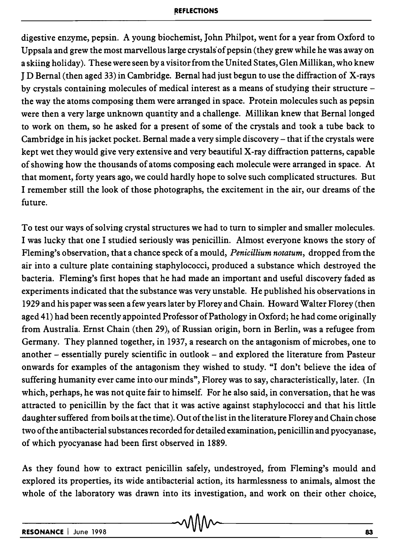digestive enzyme, pepsin. A young biochemist, John Philpot, went for a year from Oxford to Uppsala and grew the most marvellous large crystals' of pepsin (they grew while he was away on a skiing holiday). These were seen by a visitor from the United States, Glen Millikan, who knew J D Bernal (then aged 33) in Cambridge. Bernal had just begun to use the diffraction of X-rays by crystals containing molecules of medical interest as a means of studying their structure the way the atoms composing them were arranged in space. Protein molecules such as pepsin were then a very large unknown quantity and a challenge. Millikan knew that Bernal longed to work on them, so he asked for a present of some of the crystals and took a tube back to Cambridge in his jacket pocket. Bernal made a very simple discovery – that if the crystals were kept wet they would give very extensive and very beautiful X-ray diffraction patterns, capable of showing how the thousands of atoms composing each molecule were arranged in space. At that moment, forty years ago, we could hardly hope to solve such complicated structures. But 1 remember still the look of those photographs, the excitement in the air, our dreams of the future.

To test our ways of solving crystal structures we had to turn to simpler and smaller molecules. 1 was lucky that one 1 studied seriously was penicillin. Almost everyone knows the story of Fleming's observation, that a chance speck of a mould, *Penicillium notatum,* dropped from the air into a culture plate containing staphylococci, produced a substance which destroyed the bacteria. Fleming's first hopes that he had made an important and useful discovery faded as experiments indicated that the substance was very unstable. He published his observations in 1929 and his paper was seen a few years later by Florey and Chain. Howard Walter Florey (then aged 41) had been recently appointed Professor of Pathology in Oxford; he had come originally from Australia. Ernst Chain (then 29), of Russian origin, born in Berlin, was a refugee from Germany. They planned together, in 1937, a research on the antagonism of microbes, one to another - essentially purely scientific in outlook - and explored the literature from Pasteur onwards for examples of the antagonism they wished to study. "I don't believe the idea of suffering humanity ever came into our minds", Florey was to say, characteristically, later. (In which, perhaps, he was not quite fair to himself. For he also said, in conversation, that he was attracted to penicillin by the fact that it was active against staphylococci and that his little daugh ter suffered from boils at the time). Out of the list in the literature Florey and Chain chose two of the an tibacterial substances recorded for detailed examination, penicillin and pyocyanase, of which pyocyanase had been first observed in 1889.

As they found how to extract penicillin safely, undestroyed, from Fleming's mould and explored its properties, its wide antibacterial action, its harmlessness to animals, almost the whole of the laboratory was drawn into its investigation, and work on their other choice,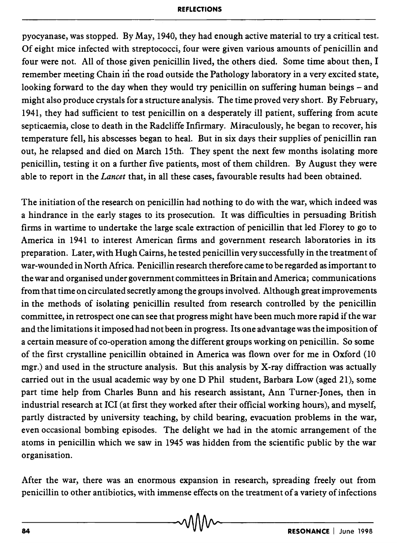pyocyanase, was stopped. By May, 1940, they had enough active material to try a critical test. Of eight mice infected with streptococci, four were given various amounts of penicillin and four were not. All of those given penicillin lived, the others died. Some time about then, I remember meeting Chain in the road outside the Pathology laboratory in a very excited state, looking forward to the day when they would try penicillin on suffering human beings - and might also produce crystals for a structure analysis. The time proved very short. By February, 1941, they had sufficient to test penicillin on a desperately ill patient, suffering from acute septicaemia, close to death in the Radcliffe Infirmary. Miraculously, he began to recover, his temperature fell, his abscesses began to heal. But in six days their supplies of penicillin ran out, he relapsed and died on March 15th. They spent the next few months isolating more penicillin, testing it on a further five patients, most of them children. By August they were able to report in the *Lancet* that, in all these cases, favourable results had been obtained.

The initiation of the research on penicillin had nothing to do with the war, which indeed was a hindrance in the early stages to its prosecution. It was difficulties in persuading British firms in wartime to undertake the large scale extraction of penicillin that led Florey to go to America in 1941 to interest American firms and government research laboratories in its preparation. Later, with Hugh Cairns, he tested penicillin very successfully in the treatment of war-wounded in North Africa. Penicillin research therefore came to be regarded as important to the war and organised under government committees in Britain and America; communications from that time on circulated secretly among the groups involved. Although great improvements in the methods of isolating penicillin resulted from research controlled by the penicillin committee, in retrospect one can see that progress might have been much more rapid if the war and the limitations it imposed had not been in progress. Its one advantage was the imposition of a certain measure of co-operation among the different groups working on penicillin. So some of the first crystalline penicillin obtained in America was flown over for me in Oxford (10 mgr.) and used in the structure analysis. But this analysis by  $X$ -ray diffraction was actually carried out in the usual academic way by one. D Phil student, Barbara Low (aged 21), some part time help from Charles Bunn and his research assistant, Ann Turner-Jones, then in industrial research at ICI (at first they worked after their official working hours), and myself, partly distracted by university teaching, by child bearing, evacuation problems in the war, even occasional bombing episodes. The delight we had in the atomic arrangement of the atoms in penicillin which we saw in 1945 was hidden from the scientific public by the war organisation.

After the war, there was an enormous expansion in research, spreading freely out from penicillin to other antibiotics, with immense effects on the treatment of a variety of infections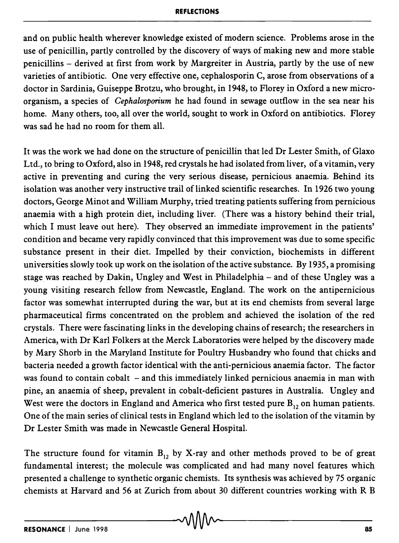and on public health wherever knowledge existed of modern science. Problems arose in the use of penicillin, partly controlled by the discovery of ways of making new and more stable penicillins - derived at first from work by Margreiter in Austria, partly by the use of new varieties of antibiotic. One very effective one, cephalosporin C, arose from observations of a doctor in Sardinia, Guiseppe Brotzu, who brought, in 1948, to Florey in Oxford a new microorganism, a species of *Cephalosporium* he had found in sewage outflow in the sea near his home. Many others, too, all over the world, sought to work in Oxford on antibiotics. Florey was sad he had no room for them all.

It was the work we had done on the structure of penicillin that led Dr Lester Smith, of Glaxo Ltd., to bring to Oxford, also in 1948, red crystals he had isolated from liver, of a vitamin, very active in preventing and curing the very serious disease, pernicious anaemia. Behind its isolation was another very instructive trail of linked scientific researches. In 1926 two young doctors, George Minot and William Murphy, tried treating patients suffering from pernicious anaemia with a high protein diet, including liver. (There was a history behind their trial, which I must leave out here). They observed an immediate improvement in the patients' condition and became very rapidly convinced that this improvement was due to some specific substance present in their diet. Impelled by their conviction, biochemists in different universities slowly took up work on the isolation of the active substance. By 1935, a promising stage was reached by Dakin, Ungley and West in Philadelphia - and of these Ungley was a young visiting research fellow from Newcastle, England. The work on the antipernicious factor was somewhat interrupted during the war, but at its end chemists from several large pharmaceutical firms concentrated on the problem and achieved the isolation of the red crystals. There were fascinating links in the developing chains of research; the researchers in America, with Dr Karl Folkers at the Merck Laboratories were helped by the discovery made by Mary Shorb in the Maryland Institute for Poultry Husbandry who found that chicks and bacteria needed a growth factor identical with the anti-pernicious anaemia factor. The factor was found to contain cobalt - and this immediately linked pernicious anaemia in man with pine, an anaemia of sheep, prevalent in cobalt-deficient pastures in Australia. Ungley and West were the doctors in England and America who first tested pure  $B_{12}$  on human patients. One of the main series of clinical tests in England which led to the isolation of the vitamin by Dr Lester Smith was made in Newcastle General Hospital.

The structure found for vitamin  $B_{12}$  by X-ray and other methods proved to be of great fundamental interest; the molecule was complicated and had many novel features which presented a challenge to synthetic organic chemists. Its synthesis was achieved by 75 organic chemists at Harvard and S6 at Zurich from about 30 different countries working with R B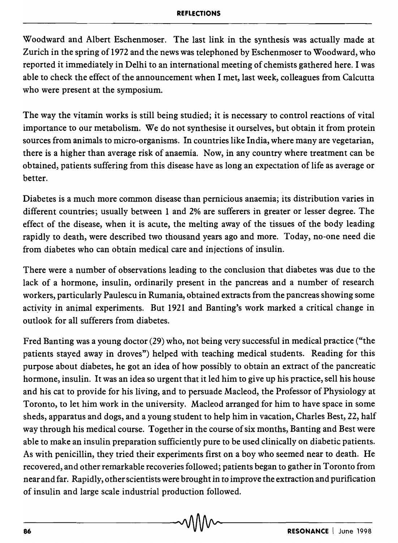Woodward and Albert Eschenmoser. The last link in the synthesis was actually made at Zurich in the spring of 1972 and the news was telephoned by Eschenmoser to Woodward, who reported it immediately in Delhi to an international meeting of chemists gathered here. I was able to check the effect of the announcement when I met, last week, colleagues from Calcutta who were present at the symposium.

The way the vitamin works is still being studied; it is necessary to control reactions of vital importance to our metabolism. We do not synthesise it ourselves, but obtain it from protein sources from animals to micro-organisms. In countries like India, where many are vegetarian, there is a higher than average risk of anaemia. Now, in any country where treatment can be obtained, patients suffering from this disease have as long an expectation of life as average or better.

Diabetes is a much more common disease than pernicious anaemia; its distribution varies in different countries; usually between 1 and 2% are sufferers in greater or lesser degree. The effect of the disease, when it is acute, the melting away of the tissues of the body leading rapidly to death, were described two thousand years ago and more. Today, no-one need die from diabetes who can obtain medical care and injections of insulin.

There were a number of observations leading to the conclusion that diabetes was due to the lack of a hormone, insulin, ordinarily present in the pancreas and a number of research workers, particularly Paulescu in Rumania, obtained extracts from the pancreas showing some actiyity in animal experiments. But 1921 and Banting's work marked a critical change in outlook for all sufferers from diabetes.

Fred Banting was a young doctor (29) who, not being very successful in medical practice ("the patients stayed away in droves") helped with teaching medical students. Reading for this purpose about diabetes, he got an idea of how possibly to obtain an extract of the pancreatic hormone, insulin. It was an idea so urgent that it led him to give up his practice, sell his house and his cat to provide for his living, and to persuade Macleod, the Professor of Physiology at Toronto, to let him work in the university. Macleod arranged for him to have space in some sheds, apparatus and dogs, and a young student to help him in vacation, Charles Best, 22, half way through his medical course. Together in the course of six months, Banting and Best were able to make an insulin preparation sufficiently pure to be used clinically on diabetic patients. As with penicillin, they tried their experiments first on a boy who seemed near to death. He recovered, and other remarkable recoveries followed; patients began to gather in Toronto from near and far. Rapidly, other scientists were brought in to improve the extraction and purification of insulin and large scale industrial production followed.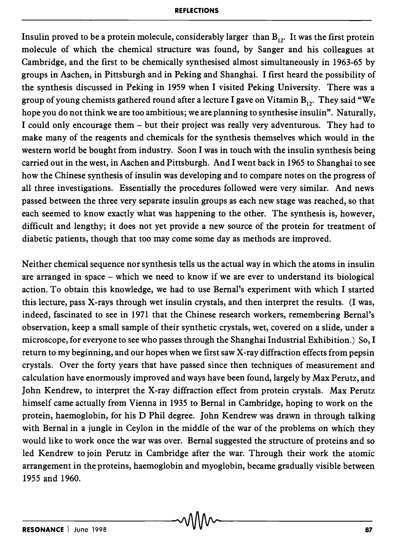Insulin proved to be a protein molecule, considerably larger than  $B_{12}$ . It was the first protein molecule of which the chemical structure was found, by Sanger and his colleagues at Cambridge, and the first to be chemically synthesised almost simultaneously in 1963-65 by groups in Aachen, in Pittsburgh and in Peking and Shanghai. I first heard the possibility of the synthesis discussed in Peking in 1959 when I visited Peking University. There was a group of young chemists gathered round after a lecture I gave on Vitamin  $B_{12}$ . They said "We hope you do not think we are too ambitious; we are planning to synthesise insulin". Naturally, I could only encourage them - but their project was really very adventurous. They had to make many of the reagents and chemicals for the synthesis themselves which would in the western world be bought from industry. Soon I was in touch with the insulin synthesis being carried out in the west, in Aachen and Pittsburgh. And I went back in 1965 to Shanghai to see how the Chinese synthesis of insulin was developing and to compare notes on the progress of all three investigations. Essentially the procedures followed were very similar. And news passed between the three very separate insulin groups as each new stage was reached, so that each seemed to know exactly what was happening to the other. The synthesis is, however, difficult and lengthy; it does not yet provide a new source of the protein for treatment of diabetic patients, though that too may come some day as methods are improved.

Neither chemical sequence nor synthesis tells us the actual way in which the atoms in insulin are arranged in space - which we need to know if we are ever to understand its biological action. To obtain this knowledge, we had to use Bernal's experiment with which I started this lecture, pass X-rays through wet insulin crystals, and then interpret the results. (I was, indeed, fascinated to see in 1971 that the Chinese research workers, remembering Bernal's observation, keep a small sample of their synthetic crystals, wet, covered on a slide, under a microscope, for everyone to see who passes through the Shanghai Industrial Exhibition.) So, I return to my beginning, and our hopes when we first saw X-ray diffraction effects from pepsin crystals. Over the forty years that have passed since then techniques of measurement and calculation have enormously improved and ways have been found, largely by Max Perutz, and John Kendrew, to interpret the X-ray diffraction effect from protein crystals. Max Perutz himself came actually from Vienna in 1935 to Bernal in Cambridge, hoping to work on the protein, haemoglobin, for his D Phil degree. John Kendrew was drawn in through talking with Bernal in a jungle in Ceylon in the middle of the war of the problems on which they would like to work once the war was over. Bernal suggested the structure of proteins and so led Kendrew to join Perutz in Cambridge after the war. Through their work the atomic arrangement in the proteins, haemoglobin and myoglobin, became gradually visible between 1955 and 1960.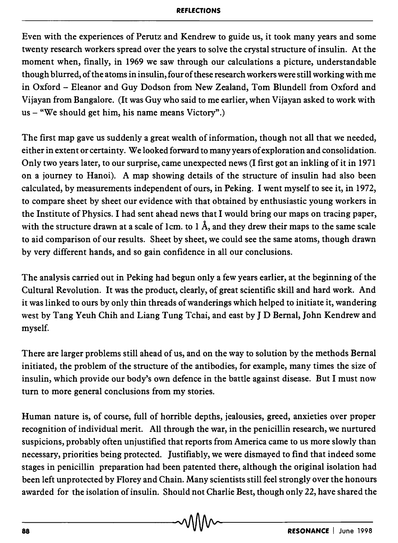Even with the experiences of Perutz and Kendrew to guide us, it took many years and some twenty research workers spread over the years to solve the crystal structure of insulin. At the moment when, finally, in 1969 we saw through our calculations a picture, understandable though blurred, of the atoms in insulin, four of these research workers were still working with me in Oxford - Eleanor and Guy Dodson from New Zealand, Tom Blundell from Oxford and Vijayan from Bangalore. (It was Guy who said to me earlier, when Vijayan asked to work with us  $-$  "We should get him, his name means Victory".)

The first map gave us suddenly a great wealth of information, though not all that we needed, either in extent or certainty. We looked forward to many years of exploration and consolidation. Only two years later, to our surprise, came unexpected news (I first got an inkling of it in 1971 on a journey to Hanoi). A map showing details of the structure of insulin had also been calculated, by measurements independent of ours, in Peking. I went myself to see it, in 1972, to compare sheet by sheet our evidence with that obtained by enthusiastic young workers in the Institute of Physics. I had sent ahead news that I would bring our maps on tracing paper, with the structure drawn at a scale of 1cm. to 1 Å, and they drew their maps to the same scale to aid comparison of our results. Sheet by sheet, we could see the same atoms, though drawn by very different hands, and so gain confidence in all our conclusions.

The analysis carried out in Peking had begun only a few years earlier, at the beginning of the Cultural Revolution. It was the product, clearly, of great scientific skill and hard work. And it was linked to ours by only thin threads of wanderings which helped to initiate it, wandering west by Tang Yeuh Chih and Liang Tung Tchai, and east by J D Bernal, John Kendrewand myself.

There are larger problems still ahead of us, and on the way to solution by the methods Bernal initiated, the problem of the structure of the antibodies, for example, many times the size of insulin, which provide our body's own defence in the battle against disease. But I must now turn to more general conclusions from my stories.

Human nature is, of course, full of horrible depths, jealousies, greed, anxieties over proper recognition of individual merit. All through the war, in the penicillin research, we nurtured suspicions, probably often unjustified that reports from America came to us more slowly than necessary, priorities being protected. Justifiably, we were dismayed to find that indeed some stages in penicillin preparation had been patented there, although the original isolation had been left unprotected by Florey and Chain. Many scientists still feel strongly over the honours awarded for the isolation of insulin. Should not Charlie Best, though only 22, have shared the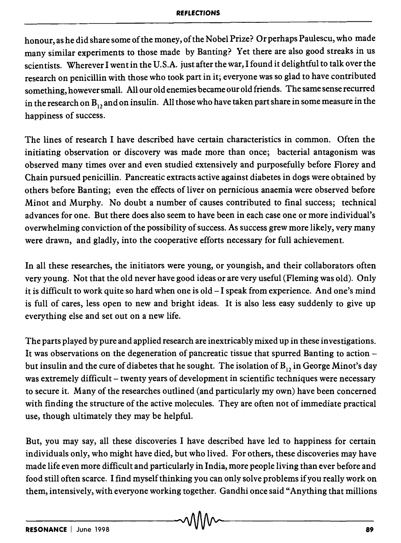honour, as he did share some of the money, of the Nobel Prize? Or perhaps Paulescu, who made many similar experiments to those made by Banting? Yet there are also good streaks in us scientists. Wherever I went in the U.S.A. just after the war, I found it delightful to talk over the research on penicillin with those who took part in it; everyone was so glad to have contributed something, however small. All our old enemies became our old friends. The same sense recurred in the research on  $B_{12}$  and on insulin. All those who have taken part share in some measure in the happiness of success.

The lines of research I have described have certain characteristics in common. Often the initiating observation or discovery was made more than once; bacterial antagonism was observed many times over and even studied extensively and purposefully before Florey and Chain pursued penicillin. Pancreatic extracts active against diabetes in dogs were obtained by others before Banting; even the effects of liver on pernicious anaemia were observed before Minot and Murphy. No doubt a number of causes contributed to final success; technical advances for one. But there does also seem to have been in each case one or more individual's overwhelming conviction of the possibility of success. As success grew more likely, very many were drawn, and gladly, into the cooperative efforts necessary for full achievement.

In all these researches, the initiators were young, or youngish, and their collaborators often very young. Not that the old never have good ideas or are very useful (Fleming was old). Only it is difficult to work quite so hard when one is  $old - I$  speak from experience. And one's mind is full of cares, less open to new and bright ideas. It is also less easy suddenly to give up everything else and set out on a new life.

The parts played by pure and applied research are inextricably mixed up in these investigations. It was observations on the degeneration of pancreatic tissue that spurred Banting to action – but insulin and the cure of diabetes that he sought. The isolation of  $B_{12}$  in George Minot's day was extremely difficult – twenty years of development in scientific techniques were necessary to secure it. Many of the researches outlined (and particularly my own) have been concerned with finding the structure of the active molecules. They are often not of immediate practical use, though ultimately they may be helpful.

But, you may say, all these discoveries I have described have led to happiness for certain individuals only, who might have died, but who lived. For others, these discoveries may have made life even more difficult and particularly in India, more people living than ever before and food still often scarce. I find myself thinking you can only solve problems if you really work on them, intensively, with everyone working together. Gandhi once said "Anything that millions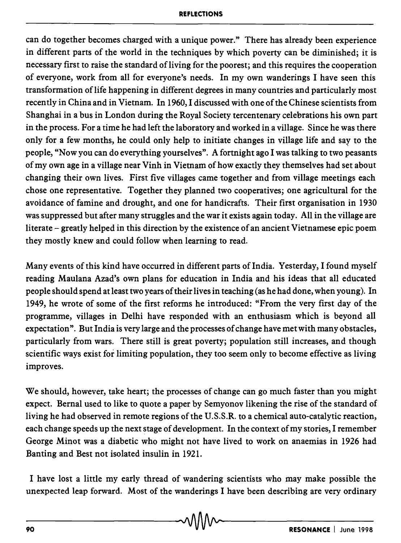can do together becomes charged with a unique power." There has already been experience in different parts of the world in the techniques by which poverty can be diminished; it is necessary first to raise the standard of living for the poorest; and this requires the cooperation of everyone, work from all for everyone's needs. In my own wanderings I have seen this transformation of life happening in different degrees in many countries and particularly most recently in China and in Vietnam. In 1960, I discussed with one of the Chinese scientists from Shanghai in a bus in London during the Royal Society tercentenary celebrations his own part in the process. For a time he had left the laboratory and worked in a village. Since he was there only for a few months, he could only help to initiate changes in village life and sar to the people, "Now you can do everything yourselves". A fortnight ago I was talking to two peasants of my own age in a village near Vinh in Vietnam of how exactly they themselves had set about changing their own lives. First five villages came together and from village meetings each chose one representative. Together they planned two cooperatives; one agricultural for the avoidance of famine and drought, and one for handicrafts. Their first organisation in 1930 was suppressed but after many struggles and the war it exists again today. All in the village are literate – greatly helped in this direction by the existence of an ancient Vietnamese epic poem they mostly knew and could follow when learning to read.

Many events of this kind have occurred in different parts of India. Yesterday, I found myself reading Maulana Azad's own plans for education in India and his ideas that all educated people should spend at least two years of their lives in teaching (as he had done, when young). In 1949, he wrote of some of the first reforms he introduced: "From the very first day of the programme, villages in Delhi have responded with an enthusiasm which is beyond all expectation". But India is very large and the processes of change have met with many obstacles, particularly from wars. There still is great poverty; population still increases, and though scientific ways exist for limiting population, they too seem only to become effective as living improves.

We should, however, take heart; the processes of change can go much faster than you might expect. Bernal used to like to quote a paper by Semyonov likening the rise of the standard of living he had observed in remote regions of the U.S.S.R. to a chemical auto-catalytic reaction, each change speeds up the next stage of development. In the context of my stories, I remember George Minot was a diabetic who might not have lived to work on anaemias in 1926 had Banting and Best not isolated insulin in 1921.

I have lost a little my early thread of wandering scientists who may make possible the unexpected leap forward. Most of the wanderings I have been describing are very ordinary